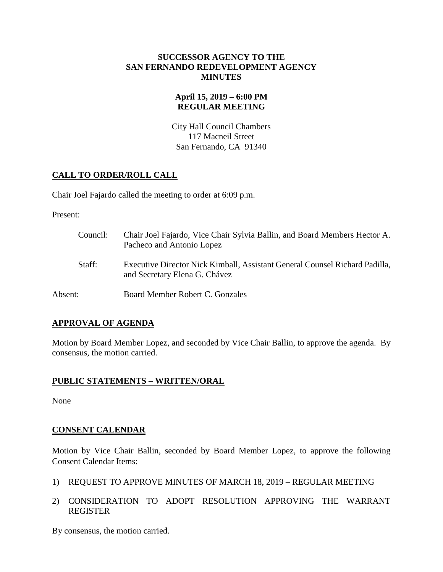#### **SUCCESSOR AGENCY TO THE SAN FERNANDO REDEVELOPMENT AGENCY MINUTES**

## **April 15, 2019 – 6:00 PM REGULAR MEETING**

City Hall Council Chambers 117 Macneil Street San Fernando, CA 91340

# **CALL TO ORDER/ROLL CALL**

Chair Joel Fajardo called the meeting to order at 6:09 p.m.

Present:

| Council: | Chair Joel Fajardo, Vice Chair Sylvia Ballin, and Board Members Hector A.<br>Pacheco and Antonio Lopez       |
|----------|--------------------------------------------------------------------------------------------------------------|
| Staff:   | Executive Director Nick Kimball, Assistant General Counsel Richard Padilla,<br>and Secretary Elena G. Chávez |
| Absent:  | Board Member Robert C. Gonzales                                                                              |

## **APPROVAL OF AGENDA**

Motion by Board Member Lopez, and seconded by Vice Chair Ballin, to approve the agenda. By consensus, the motion carried.

## **PUBLIC STATEMENTS – WRITTEN/ORAL**

None

## **CONSENT CALENDAR**

Motion by Vice Chair Ballin, seconded by Board Member Lopez, to approve the following Consent Calendar Items:

- 1) REQUEST TO APPROVE MINUTES OF MARCH 18, 2019 REGULAR MEETING
- 2) CONSIDERATION TO ADOPT RESOLUTION APPROVING THE WARRANT REGISTER

By consensus, the motion carried.